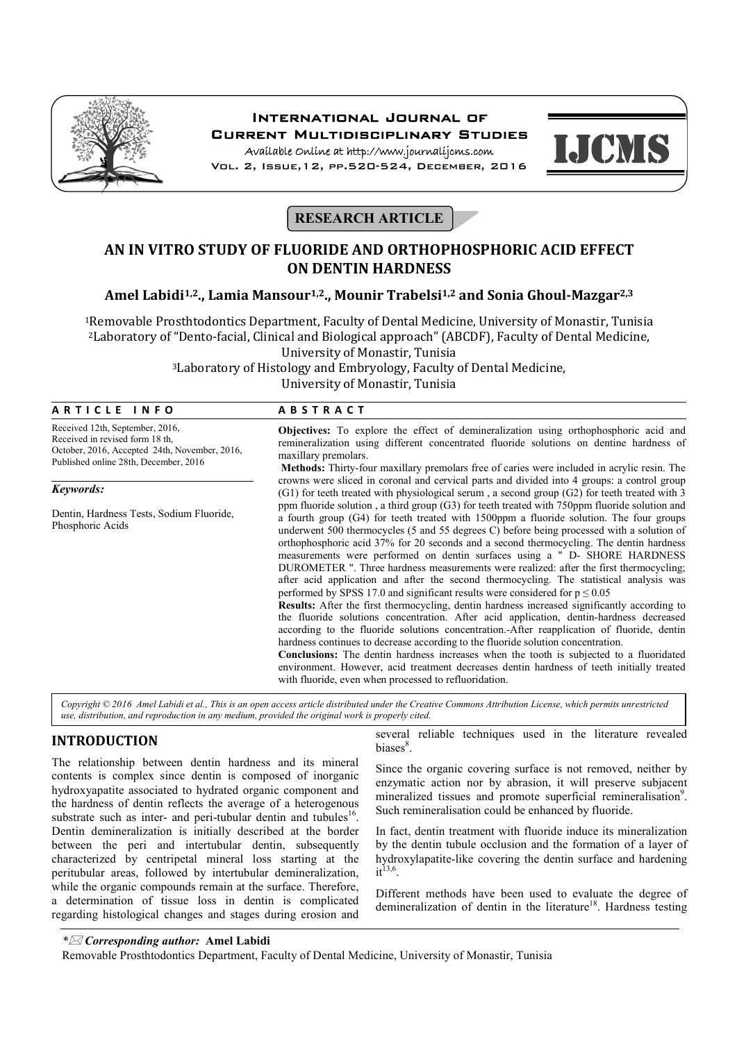

# International Journal of Current Multidisciplinary Studies

Available Online at http://www.journalijcms.com Vol. 2, Issue,12, pp.520-524, December, 2016



# **RESEARCH ARTICLE**

# **AN IN VITRO STUDY OF FLUORIDE AND ORTHOPHOSPHORIC ACID EFFECT ON DENTIN HARDNESS**

# **Amel Labidi1,2., Lamia Mansour1,2., Mounir Trabelsi1,2 and Sonia Ghoul-Mazgar2,3**

1Removable Prosthtodontics Department, Faculty of Dental Medicine, University of Monastir, Tunisia 2Laboratory of "Dento-facial, Clinical and Biological approach" (ABCDF), Faculty of Dental Medicine, University of Monastir, Tunisia

3Laboratory of Histology and Embryology, Faculty of Dental Medicine, University of Monastir, Tunisia

## **A R T I C L E I N F O A B S T R A C T**

Received 12th, September, 2016, Received in revised form 18 th, October, 2016, Accepted 24th, November, 2016, Published online 28th, December, 2016

#### *Keywords:*

Dentin, Hardness Tests, Sodium Fluoride, Phosphoric Acids

**Objectives:** To explore the effect of demineralization using orthophosphoric acid and remineralization using different concentrated fluoride solutions on dentine hardness of maxillary premolars.

**Methods:** Thirty-four maxillary premolars free of caries were included in acrylic resin. The crowns were sliced in coronal and cervical parts and divided into 4 groups: a control group (G1) for teeth treated with physiological serum , a second group (G2) for teeth treated with 3 ppm fluoride solution , a third group (G3) for teeth treated with 750ppm fluoride solution and a fourth group (G4) for teeth treated with 1500ppm a fluoride solution. The four groups underwent 500 thermocycles (5 and 55 degrees C) before being processed with a solution of orthophosphoric acid 37% for 20 seconds and a second thermocycling. The dentin hardness measurements were performed on dentin surfaces using a " D- SHORE HARDNESS DUROMETER ". Three hardness measurements were realized: after the first thermocycling; after acid application and after the second thermocycling. The statistical analysis was performed by SPSS 17.0 and significant results were considered for  $p \le 0.05$ 

**Results:** After the first thermocycling, dentin hardness increased significantly according to the fluoride solutions concentration. After acid application, dentin-hardness decreased according to the fluoride solutions concentration.-After reapplication of fluoride, dentin hardness continues to decrease according to the fluoride solution concentration.

**Conclusions:** The dentin hardness increases when the tooth is subjected to a fluoridated environment. However, acid treatment decreases dentin hardness of teeth initially treated with fluoride, even when processed to refluoridation.

*Copyright © 2016 Amel Labidi et al., This is an open access article distributed under the Creative Commons Attribution License, which permits unrestricted use, distribution, and reproduction in any medium, provided the original work is properly cited.*

# **INTRODUCTION**

The relationship between dentin hardness and its mineral contents is complex since dentin is composed of inorganic hydroxyapatite associated to hydrated organic component and the hardness of dentin reflects the average of a heterogenous substrate such as inter- and peri-tubular dentin and tubules<sup>16</sup>. Dentin demineralization is initially described at the border between the peri and intertubular dentin, subsequently characterized by centripetal mineral loss starting at the peritubular areas, followed by intertubular demineralization, while the organic compounds remain at the surface. Therefore, a determination of tissue loss in dentin is complicated regarding histological changes and stages during erosion and several reliable techniques used in the literature revealed biases<sup>8</sup>.

Since the organic covering surface is not removed, neither by enzymatic action nor by abrasion, it will preserve subjacent mineralized tissues and promote superficial remineralisation<sup>9</sup>. Such remineralisation could be enhanced by fluoride.

In fact, dentin treatment with fluoride induce its mineralization by the dentin tubule occlusion and the formation of a layer of hydroxylapatite-like covering the dentin surface and hardening  $it^{13,6}$ 

Different methods have been used to evaluate the degree of demineralization of dentin in the literature<sup>18</sup>. Hardness testing

*\* Corresponding author:* **Amel Labidi**

Removable Prosthtodontics Department, Faculty of Dental Medicine, University of Monastir, Tunisia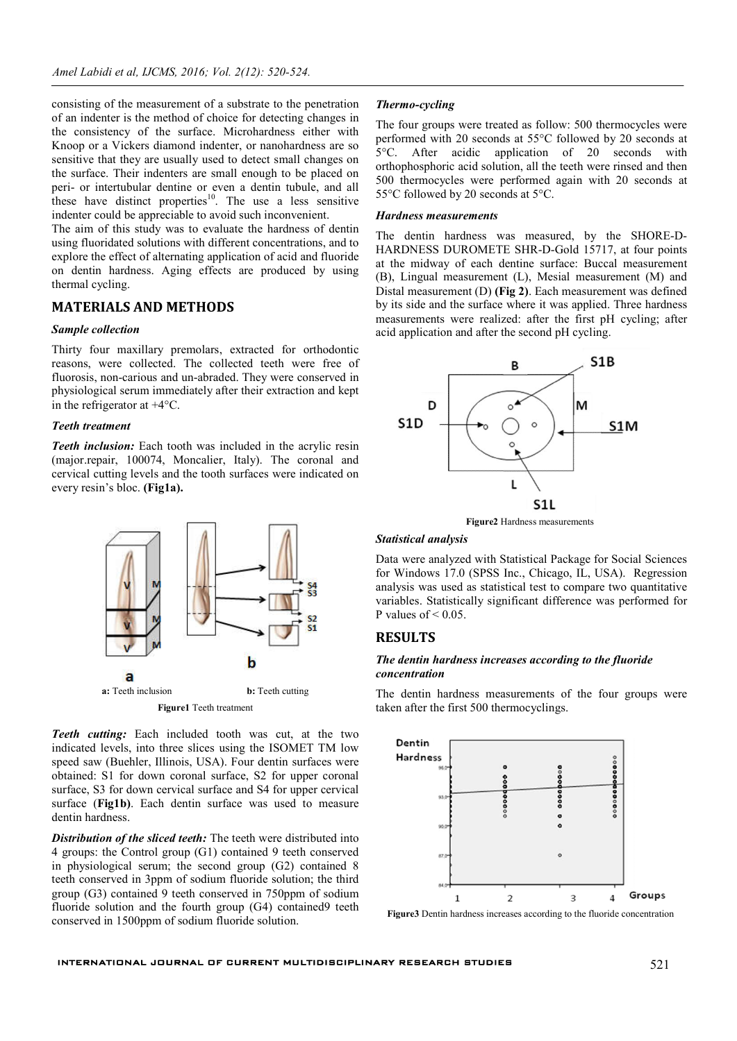consisting of the measurement of a substrate to the penetration of an indenter is the method of choice for detecting changes in the consistency of the surface. Microhardness either with Knoop or a Vickers diamond indenter, or nanohardness are so sensitive that they are usually used to detect small changes on the surface. Their indenters are small enough to be placed on peri- or intertubular dentine or even a dentin tubule, and all these have distinct properties<sup>10</sup>. The use a less sensitive indenter could be appreciable to avoid such inconvenient.

The aim of this study was to evaluate the hardness of dentin using fluoridated solutions with different concentrations, and to explore the effect of alternating application of acid and fluoride on dentin hardness. Aging effects are produced by using thermal cycling.

# **MATERIALS AND METHODS**

#### *Sample collection*

Thirty four maxillary premolars, extracted for orthodontic reasons, were collected. The collected teeth were free of fluorosis, non-carious and un-abraded. They were conserved in physiological serum immediately after their extraction and kept in the refrigerator at +4°C.

#### *Teeth treatment*

*Teeth inclusion:* Each tooth was included in the acrylic resin (major.repair, 100074, Moncalier, Italy). The coronal and cervical cutting levels and the tooth surfaces were indicated on every resin's bloc. **(Fig1a).**



*Teeth cutting:* Each included tooth was cut, at the two indicated levels, into three slices using the ISOMET TM low speed saw (Buehler, Illinois, USA). Four dentin surfaces were obtained: S1 for down coronal surface, S2 for upper coronal surface, S3 for down cervical surface and S4 for upper cervical surface (**Fig1b)**. Each dentin surface was used to measure dentin hardness.

*Distribution of the sliced teeth:* The teeth were distributed into 4 groups: the Control group (G1) contained 9 teeth conserved in physiological serum; the second group (G2) contained 8 teeth conserved in 3ppm of sodium fluoride solution; the third group (G3) contained 9 teeth conserved in 750ppm of sodium fluoride solution and the fourth group (G4) contained9 teeth conserved in 1500ppm of sodium fluoride solution.

#### *Thermo-cycling*

The four groups were treated as follow: 500 thermocycles were performed with 20 seconds at 55°C followed by 20 seconds at 5°C. After acidic application of 20 seconds with orthophosphoric acid solution, all the teeth were rinsed and then 500 thermocycles were performed again with 20 seconds at 55°C followed by 20 seconds at 5°C.

#### *Hardness measurements*

The dentin hardness was measured, by the SHORE-D-HARDNESS DUROMETE SHR-D-Gold 15717, at four points at the midway of each dentine surface: Buccal measurement (B), Lingual measurement (L), Mesial measurement (M) and Distal measurement (D) **(Fig 2)**. Each measurement was defined by its side and the surface where it was applied. Three hardness measurements were realized: after the first pH cycling; after acid application and after the second pH cycling.



**Figure2** Hardness measurements

# *Statistical analysis*

Data were analyzed with Statistical Package for Social Sciences for Windows 17.0 (SPSS Inc., Chicago, IL, USA). Regression analysis was used as statistical test to compare two quantitative variables. Statistically significant difference was performed for P values of  $< 0.05$ .

# **RESULTS**

# *The dentin hardness increases according to the fluoride concentration*

The dentin hardness measurements of the four groups were taken after the first 500 thermocyclings.



**Figure3** Dentin hardness increases according to the fluoride concentration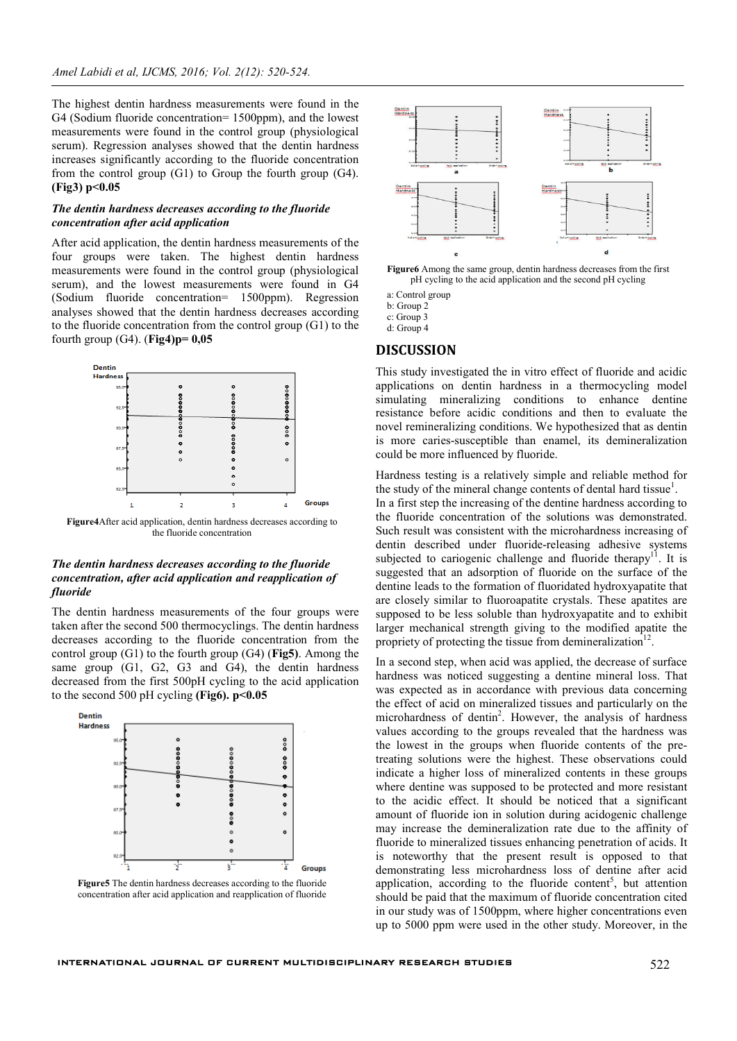The highest dentin hardness measurements were found in the G4 (Sodium fluoride concentration= 1500ppm), and the lowest measurements were found in the control group (physiological serum). Regression analyses showed that the dentin hardness increases significantly according to the fluoride concentration from the control group (G1) to Group the fourth group (G4). **(Fig3) p<0.05**

### *The dentin hardness decreases according to the fluoride concentration after acid application*

After acid application, the dentin hardness measurements of the four groups were taken. The highest dentin hardness measurements were found in the control group (physiological serum), and the lowest measurements were found in G4 (Sodium fluoride concentration= 1500ppm). Regression analyses showed that the dentin hardness decreases according to the fluoride concentration from the control group (G1) to the fourth group (G4). (**Fig4)p= 0,05**



the fluoride concentration

## *The dentin hardness decreases according to the fluoride concentration, after acid application and reapplication of fluoride*

The dentin hardness measurements of the four groups were taken after the second 500 thermocyclings. The dentin hardness decreases according to the fluoride concentration from the control group (G1) to the fourth group (G4) (**Fig5)**. Among the same group (G1, G2, G3 and G4), the dentin hardness decreased from the first 500pH cycling to the acid application to the second 500 pH cycling **(Fig6). p<0.05**



**Figure5** The dentin hardness decreases according to the fluoride concentration after acid application and reapplication of fluoride



**Figure6** Among the same group, dentin hardness decreases from the first pH cycling to the acid application and the second pH cycling

a: Control group

b: Group 2

c: Group 3

d: Group 4

## **DISCUSSION**

This study investigated the in vitro effect of fluoride and acidic applications on dentin hardness in a thermocycling model simulating mineralizing conditions to enhance dentine resistance before acidic conditions and then to evaluate the novel remineralizing conditions. We hypothesized that as dentin is more caries-susceptible than enamel, its demineralization could be more influenced by fluoride.

Hardness testing is a relatively simple and reliable method for the study of the mineral change contents of dental hard tissue<sup>1</sup>.

In a first step the increasing of the dentine hardness according to the fluoride concentration of the solutions was demonstrated. Such result was consistent with the microhardness increasing of dentin described under fluoride-releasing adhesive systems subjected to cariogenic challenge and fluoride therapy<sup>11</sup>. It is suggested that an adsorption of fluoride on the surface of the dentine leads to the formation of fluoridated hydroxyapatite that are closely similar to fluoroapatite crystals. These apatites are supposed to be less soluble than hydroxyapatite and to exhibit larger mechanical strength giving to the modified apatite the propriety of protecting the tissue from demineralization $12$ .

In a second step, when acid was applied, the decrease of surface hardness was noticed suggesting a dentine mineral loss. That was expected as in accordance with previous data concerning the effect of acid on mineralized tissues and particularly on the microhardness of dentin<sup>2</sup>. However, the analysis of hardness values according to the groups revealed that the hardness was the lowest in the groups when fluoride contents of the pretreating solutions were the highest. These observations could indicate a higher loss of mineralized contents in these groups where dentine was supposed to be protected and more resistant to the acidic effect. It should be noticed that a significant amount of fluoride ion in solution during acidogenic challenge may increase the demineralization rate due to the affinity of fluoride to mineralized tissues enhancing penetration of acids. It is noteworthy that the present result is opposed to that demonstrating less microhardness loss of dentine after acid application, according to the fluoride content<sup>5</sup>, but attention should be paid that the maximum of fluoride concentration cited in our study was of 1500ppm, where higher concentrations even up to 5000 ppm were used in the other study. Moreover, in the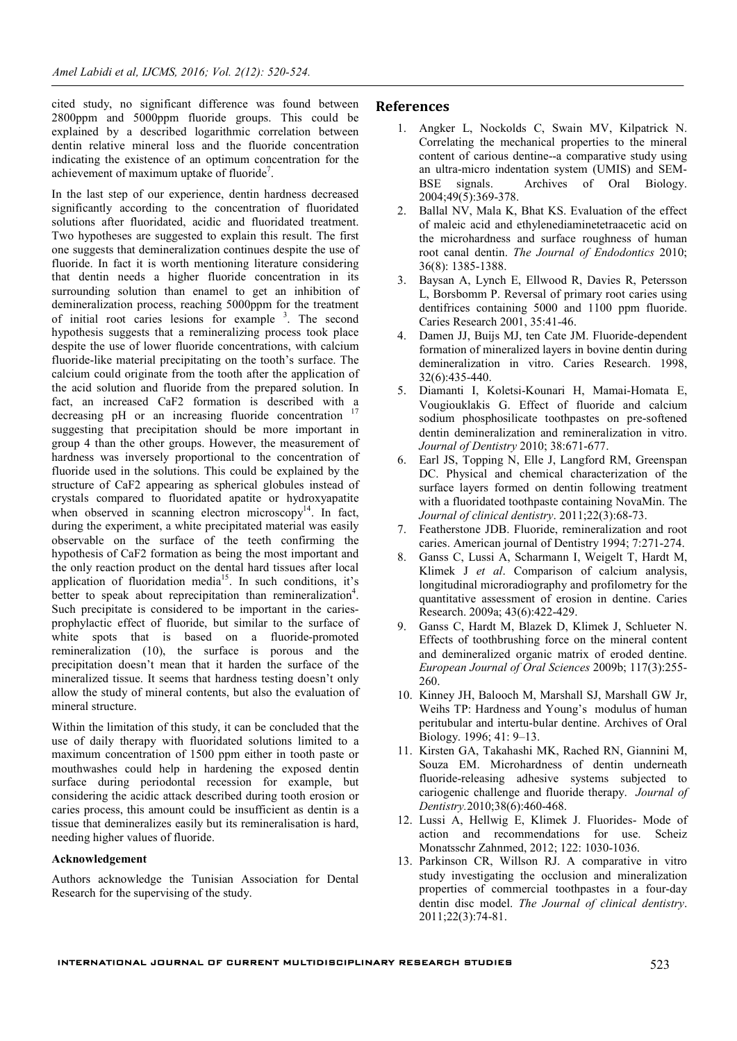cited study, no significant difference was found between 2800ppm and 5000ppm fluoride groups. This could be explained by a described logarithmic correlation between dentin relative mineral loss and the fluoride concentration indicating the existence of an optimum concentration for the achievement of maximum uptake of fluoride<sup>7</sup>.

In the last step of our experience, dentin hardness decreased significantly according to the concentration of fluoridated solutions after fluoridated, acidic and fluoridated treatment. Two hypotheses are suggested to explain this result. The first one suggests that demineralization continues despite the use of fluoride. In fact it is worth mentioning literature considering that dentin needs a higher fluoride concentration in its surrounding solution than enamel to get an inhibition of demineralization process, reaching 5000ppm for the treatment of initial root caries lesions for example <sup>3</sup>. The second hypothesis suggests that a remineralizing process took place despite the use of lower fluoride concentrations, with calcium fluoride-like material precipitating on the tooth's surface. The calcium could originate from the tooth after the application of the acid solution and fluoride from the prepared solution. In fact, an increased CaF2 formation is described with a decreasing pH or an increasing fluoride concentration suggesting that precipitation should be more important in group 4 than the other groups. However, the measurement of hardness was inversely proportional to the concentration of fluoride used in the solutions. This could be explained by the structure of CaF2 appearing as spherical globules instead of crystals compared to fluoridated apatite or hydroxyapatite when observed in scanning electron microscopy $14$ . In fact, during the experiment, a white precipitated material was easily observable on the surface of the teeth confirming the hypothesis of CaF2 formation as being the most important and the only reaction product on the dental hard tissues after local application of fluoridation media<sup>15</sup>. In such conditions, it's better to speak about reprecipitation than remineralization<sup>4</sup>. Such precipitate is considered to be important in the cariesprophylactic effect of fluoride, but similar to the surface of white spots that is based on a fluoride-promoted remineralization (10), the surface is porous and the precipitation doesn't mean that it harden the surface of the mineralized tissue. It seems that hardness testing doesn't only allow the study of mineral contents, but also the evaluation of mineral structure.

Within the limitation of this study, it can be concluded that the use of daily therapy with fluoridated solutions limited to a maximum concentration of 1500 ppm either in tooth paste or mouthwashes could help in hardening the exposed dentin surface during periodontal recession for example, but considering the acidic attack described during tooth erosion or caries process, this amount could be insufficient as dentin is a tissue that demineralizes easily but its remineralisation is hard, needing higher values of fluoride.

### **Acknowledgement**

Authors acknowledge the Tunisian Association for Dental Research for the supervising of the study.

# **References**

- 1. Angker L, Nockolds C, Swain MV, Kilpatrick N. Correlating the mechanical properties to the mineral content of carious dentine--a comparative study using an ultra-micro indentation system (UMIS) and SEM-BSE signals. Archives of Oral Biology. 2004;49(5):369-378.
- 2. Ballal NV, Mala K, Bhat KS. Evaluation of the effect of maleic acid and ethylenediaminetetraacetic acid on the microhardness and surface roughness of human root canal dentin. *The Journal of Endodontics* 2010; 36(8): 1385-1388.
- 3. Baysan A, Lynch E, Ellwood R, Davies R, Petersson L, Borsbomm P. Reversal of primary root caries using dentifrices containing 5000 and 1100 ppm fluoride. Caries Research 2001, 35:41-46.
- 4. Damen JJ, Buijs MJ, ten Cate JM. Fluoride-dependent formation of mineralized layers in bovine dentin during demineralization in vitro. Caries Research. 1998, 32(6):435-440.
- 5. Diamanti I, Koletsi-Kounari H, Mamai-Homata E, Vougiouklakis G. Effect of fluoride and calcium sodium phosphosilicate toothpastes on pre-softened dentin demineralization and remineralization in vitro. *Journal of Dentistry* 2010; 38:671-677.
- 6. Earl JS, Topping N, Elle J, Langford RM, Greenspan DC. Physical and chemical characterization of the surface layers formed on dentin following treatment with a fluoridated toothpaste containing NovaMin. The *Journal of clinical dentistry*. 2011;22(3):68-73.
- 7. Featherstone JDB. Fluoride, remineralization and root caries. American journal of Dentistry 1994; 7:271-274.
- 8. Ganss C, Lussi A, Scharmann I, Weigelt T, Hardt M, Klimek J *et al*. Comparison of calcium analysis, longitudinal microradiography and profilometry for the quantitative assessment of erosion in dentine. Caries Research. 2009a; 43(6):422-429.
- 9. Ganss C, Hardt M, Blazek D, Klimek J, Schlueter N. Effects of toothbrushing force on the mineral content and demineralized organic matrix of eroded dentine. *European Journal of Oral Sciences* 2009b; 117(3):255- 260.
- 10. Kinney JH, Balooch M, Marshall SJ, Marshall GW Jr, Weihs TP: Hardness and Young's modulus of human peritubular and intertu-bular dentine. Archives of Oral Biology. 1996; 41: 9–13.
- 11. Kirsten GA, Takahashi MK, Rached RN, Giannini M, Souza EM. Microhardness of dentin underneath fluoride-releasing adhesive systems subjected to cariogenic challenge and fluoride therapy. *Journal of Dentistry.*2010;38(6):460-468.
- 12. Lussi A, Hellwig E, Klimek J. Fluorides- Mode of action and recommendations for use. Scheiz Monatsschr Zahnmed, 2012; 122: 1030-1036.
- 13. Parkinson CR, Willson RJ. A comparative in vitro study investigating the occlusion and mineralization properties of commercial toothpastes in a four-day dentin disc model. *The Journal of clinical dentistry*. 2011;22(3):74-81.